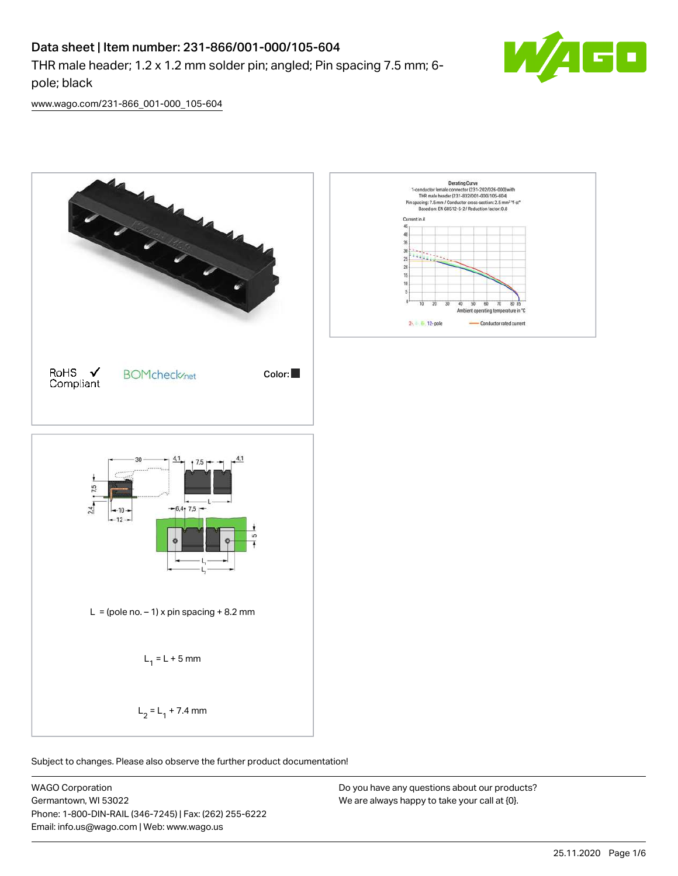# Data sheet | Item number: 231-866/001-000/105-604

THR male header; 1.2 x 1.2 mm solder pin; angled; Pin spacing 7.5 mm; 6 pole; black



[www.wago.com/231-866\\_001-000\\_105-604](http://www.wago.com/231-866_001-000_105-604)



Subject to changes. Please also observe the further product documentation!

WAGO Corporation Germantown, WI 53022 Phone: 1-800-DIN-RAIL (346-7245) | Fax: (262) 255-6222 Email: info.us@wago.com | Web: www.wago.us

Do you have any questions about our products? We are always happy to take your call at {0}.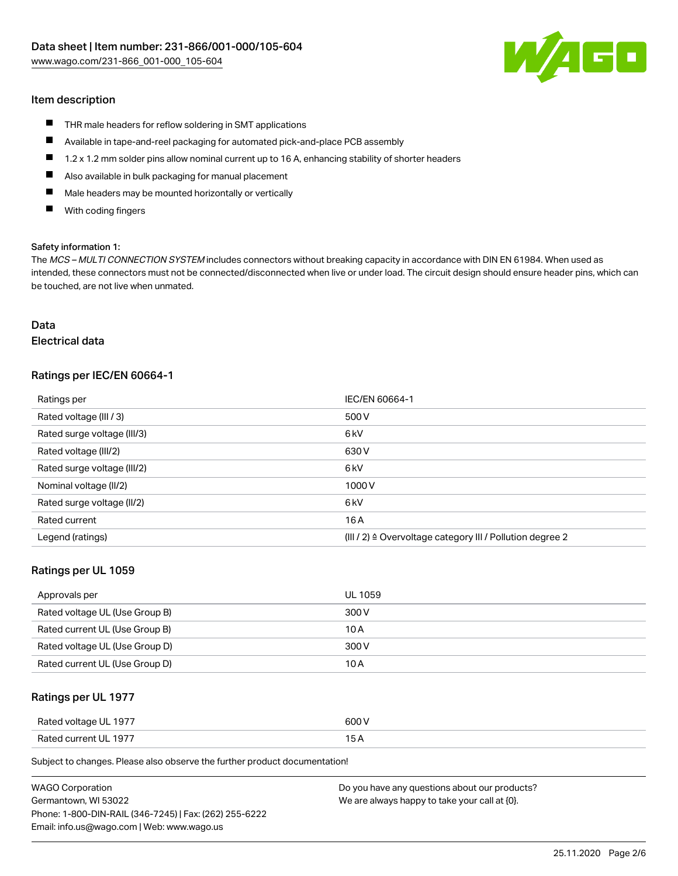

#### Item description

- **THR** male headers for reflow soldering in SMT applications
- $\blacksquare$ Available in tape-and-reel packaging for automated pick-and-place PCB assembly
- $\blacksquare$ 1.2 x 1.2 mm solder pins allow nominal current up to 16 A, enhancing stability of shorter headers
- $\blacksquare$ Also available in bulk packaging for manual placement
- $\blacksquare$ Male headers may be mounted horizontally or vertically
- $\blacksquare$ With coding fingers

#### Safety information 1:

The MCS – MULTI CONNECTION SYSTEM includes connectors without breaking capacity in accordance with DIN EN 61984. When used as intended, these connectors must not be connected/disconnected when live or under load. The circuit design should ensure header pins, which can be touched, are not live when unmated.

# Data

# Electrical data

#### Ratings per IEC/EN 60664-1

| Ratings per                 | IEC/EN 60664-1                                                       |
|-----------------------------|----------------------------------------------------------------------|
| Rated voltage (III / 3)     | 500 V                                                                |
| Rated surge voltage (III/3) | 6 <sub>kV</sub>                                                      |
| Rated voltage (III/2)       | 630 V                                                                |
| Rated surge voltage (III/2) | 6 <sub>kV</sub>                                                      |
| Nominal voltage (II/2)      | 1000V                                                                |
| Rated surge voltage (II/2)  | 6 <sub>kV</sub>                                                      |
| Rated current               | 16A                                                                  |
| Legend (ratings)            | (III / 2) $\triangleq$ Overvoltage category III / Pollution degree 2 |

#### Ratings per UL 1059

| Approvals per                  | UL 1059 |
|--------------------------------|---------|
| Rated voltage UL (Use Group B) | 300 V   |
| Rated current UL (Use Group B) | 10 A    |
| Rated voltage UL (Use Group D) | 300 V   |
| Rated current UL (Use Group D) | 10 A    |

#### Ratings per UL 1977

| Rated voltage UL 1977           | 600 V             |
|---------------------------------|-------------------|
| $D$ ntod<br>d current I II-1977 | <b>15</b><br>____ |

Subject to changes. Please also observe the further product documentation!

| <b>WAGO Corporation</b>                                | Do you have any questions about our products? |
|--------------------------------------------------------|-----------------------------------------------|
| Germantown, WI 53022                                   | We are always happy to take your call at {0}. |
| Phone: 1-800-DIN-RAIL (346-7245)   Fax: (262) 255-6222 |                                               |
| Email: info.us@wago.com   Web: www.wago.us             |                                               |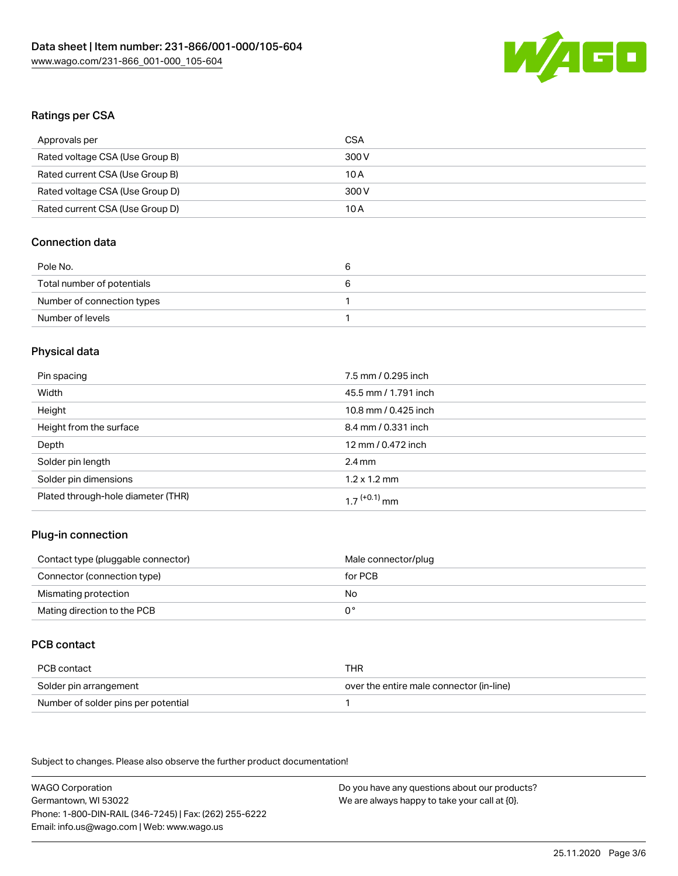

# Ratings per CSA

| Approvals per                   | CSA   |
|---------------------------------|-------|
| Rated voltage CSA (Use Group B) | 300 V |
| Rated current CSA (Use Group B) | 10 A  |
| Rated voltage CSA (Use Group D) | 300 V |
| Rated current CSA (Use Group D) | 10 A  |

# Connection data

| Pole No.                   | ь |
|----------------------------|---|
| Total number of potentials | ь |
| Number of connection types |   |
| Number of levels           |   |

# Physical data

| Pin spacing                        | 7.5 mm / 0.295 inch      |
|------------------------------------|--------------------------|
| Width                              | 45.5 mm / 1.791 inch     |
| Height                             | 10.8 mm / 0.425 inch     |
| Height from the surface            | 8.4 mm / 0.331 inch      |
| Depth                              | 12 mm / 0.472 inch       |
| Solder pin length                  | $2.4 \text{ mm}$         |
| Solder pin dimensions              | $1.2 \times 1.2$ mm      |
| Plated through-hole diameter (THR) | 1 7 <sup>(+0.1)</sup> mm |

# Plug-in connection

| Contact type (pluggable connector) | Male connector/plug |
|------------------------------------|---------------------|
| Connector (connection type)        | for PCB             |
| Mismating protection               | No.                 |
| Mating direction to the PCB        | $0^{\circ}$         |

### PCB contact

| PCB contact                         | THR                                      |
|-------------------------------------|------------------------------------------|
| Solder pin arrangement              | over the entire male connector (in-line) |
| Number of solder pins per potential |                                          |

Subject to changes. Please also observe the further product documentation!

WAGO Corporation Germantown, WI 53022 Phone: 1-800-DIN-RAIL (346-7245) | Fax: (262) 255-6222 Email: info.us@wago.com | Web: www.wago.us

Do you have any questions about our products? We are always happy to take your call at {0}.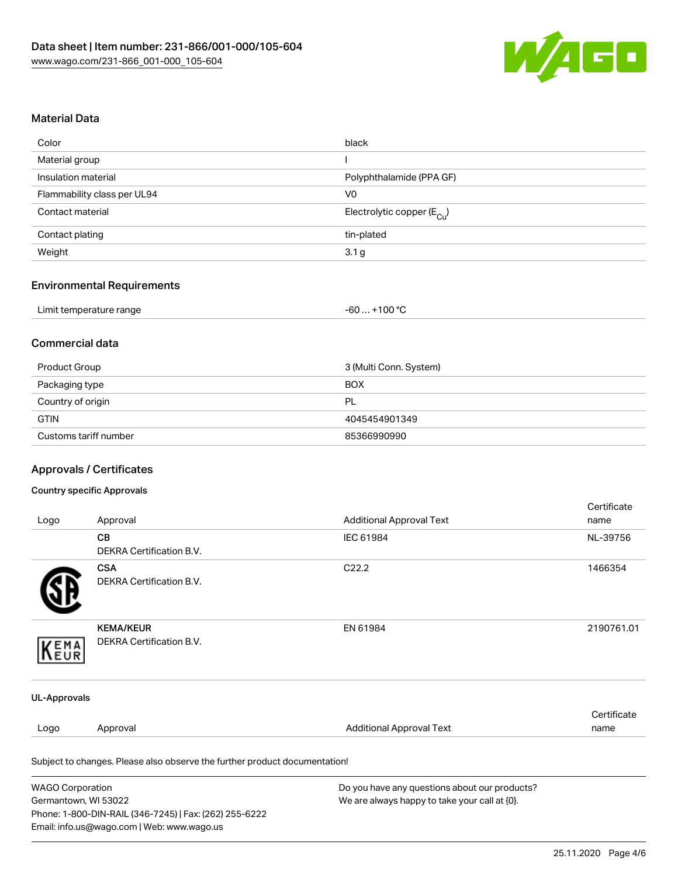

# Material Data

| Color                       | black                                 |
|-----------------------------|---------------------------------------|
| Material group              |                                       |
| Insulation material         | Polyphthalamide (PPA GF)              |
| Flammability class per UL94 | V <sub>0</sub>                        |
| Contact material            | Electrolytic copper $(E_{\text{Cl}})$ |
| Contact plating             | tin-plated                            |
| Weight                      | 3.1 <sub>g</sub>                      |

# Environmental Requirements

|  | Limit temperature range | . +100 ℃<br>-60 |  |
|--|-------------------------|-----------------|--|
|--|-------------------------|-----------------|--|

### Commercial data

| Product Group         | 3 (Multi Conn. System) |
|-----------------------|------------------------|
| Packaging type        | <b>BOX</b>             |
| Country of origin     | -PL                    |
| <b>GTIN</b>           | 4045454901349          |
| Customs tariff number | 85366990990            |

# Approvals / Certificates

#### Country specific Approvals

Phone: 1-800-DIN-RAIL (346-7245) | Fax: (262) 255-6222

Email: info.us@wago.com | Web: www.wago.us

| Logo                    | Approval                                                                   | <b>Additional Approval Text</b>               | Certificate<br>name |
|-------------------------|----------------------------------------------------------------------------|-----------------------------------------------|---------------------|
|                         | CВ                                                                         | IEC 61984                                     | NL-39756            |
|                         | DEKRA Certification B.V.                                                   |                                               |                     |
|                         | <b>CSA</b>                                                                 | C <sub>22.2</sub>                             | 1466354             |
|                         | DEKRA Certification B.V.                                                   |                                               |                     |
|                         | <b>KEMA/KEUR</b>                                                           | EN 61984                                      | 2190761.01          |
| KEMA                    | <b>DEKRA Certification B.V.</b>                                            |                                               |                     |
| UL-Approvals            |                                                                            |                                               |                     |
|                         |                                                                            |                                               | Certificate         |
| Logo                    | Approval                                                                   | <b>Additional Approval Text</b>               | name                |
|                         | Subject to changes. Please also observe the further product documentation! |                                               |                     |
| <b>WAGO Corporation</b> |                                                                            | Do you have any questions about our products? |                     |
| Germantown, WI 53022    |                                                                            | We are always happy to take your call at {0}. |                     |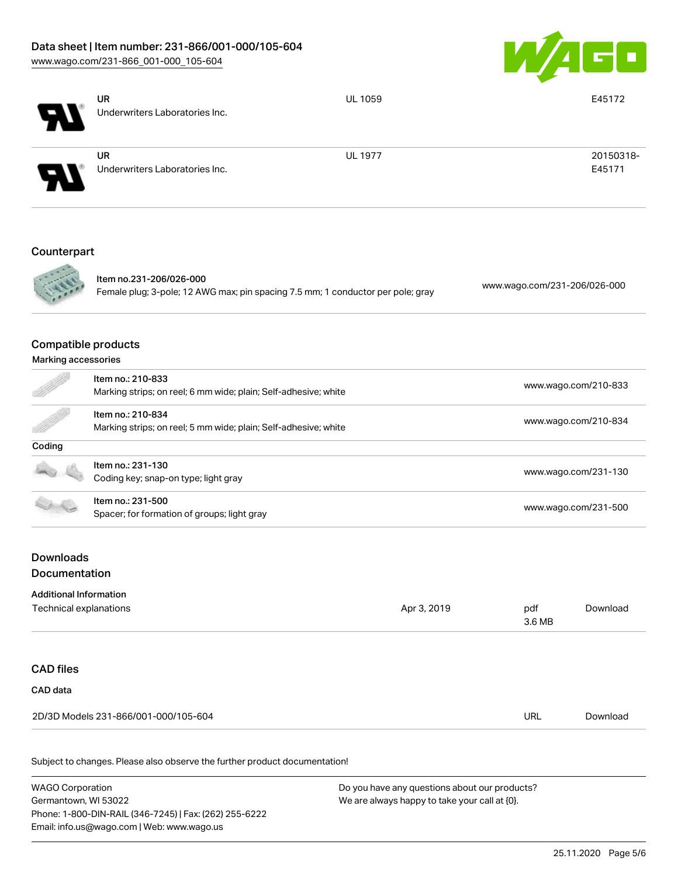# Data sheet | Item number: 231-866/001-000/105-604

Phone: 1-800-DIN-RAIL (346-7245) | Fax: (262) 255-6222

Email: info.us@wago.com | Web: www.wago.us

[www.wago.com/231-866\\_001-000\\_105-604](http://www.wago.com/231-866_001-000_105-604)



|                                                         | <b>UR</b><br>Underwriters Laboratories Inc.                                                                | <b>UL 1059</b> |                                                                                                | E45172               |  |  |
|---------------------------------------------------------|------------------------------------------------------------------------------------------------------------|----------------|------------------------------------------------------------------------------------------------|----------------------|--|--|
|                                                         |                                                                                                            |                |                                                                                                |                      |  |  |
|                                                         | <b>UR</b><br>Underwriters Laboratories Inc.                                                                | <b>UL 1977</b> |                                                                                                | 20150318-<br>E45171  |  |  |
| Counterpart                                             |                                                                                                            |                |                                                                                                |                      |  |  |
|                                                         | Item no.231-206/026-000<br>Female plug; 3-pole; 12 AWG max; pin spacing 7.5 mm; 1 conductor per pole; gray |                | www.wago.com/231-206/026-000                                                                   |                      |  |  |
| <b>Compatible products</b><br>Marking accessories       |                                                                                                            |                |                                                                                                |                      |  |  |
|                                                         | Item no.: 210-833<br>Marking strips; on reel; 6 mm wide; plain; Self-adhesive; white                       |                | www.wago.com/210-833                                                                           |                      |  |  |
|                                                         | Item no.: 210-834<br>Marking strips; on reel; 5 mm wide; plain; Self-adhesive; white                       |                | www.wago.com/210-834                                                                           |                      |  |  |
| Coding                                                  |                                                                                                            |                |                                                                                                |                      |  |  |
|                                                         | Item no.: 231-130<br>Coding key; snap-on type; light gray                                                  |                |                                                                                                | www.wago.com/231-130 |  |  |
|                                                         | Item no.: 231-500<br>Spacer; for formation of groups; light gray                                           |                | www.wago.com/231-500                                                                           |                      |  |  |
| <b>Downloads</b><br>Documentation                       |                                                                                                            |                |                                                                                                |                      |  |  |
| <b>Additional Information</b><br>Technical explanations |                                                                                                            | Apr 3, 2019    | pdf<br>3.6 MB                                                                                  | Download             |  |  |
| <b>CAD files</b>                                        |                                                                                                            |                |                                                                                                |                      |  |  |
| CAD data                                                | 2D/3D Models 231-866/001-000/105-604                                                                       |                | <b>URL</b>                                                                                     | Download             |  |  |
|                                                         |                                                                                                            |                |                                                                                                |                      |  |  |
|                                                         | Subject to changes. Please also observe the further product documentation!                                 |                |                                                                                                |                      |  |  |
| <b>WAGO Corporation</b><br>Germantown, WI 53022         |                                                                                                            |                | Do you have any questions about our products?<br>We are always happy to take your call at {0}. |                      |  |  |